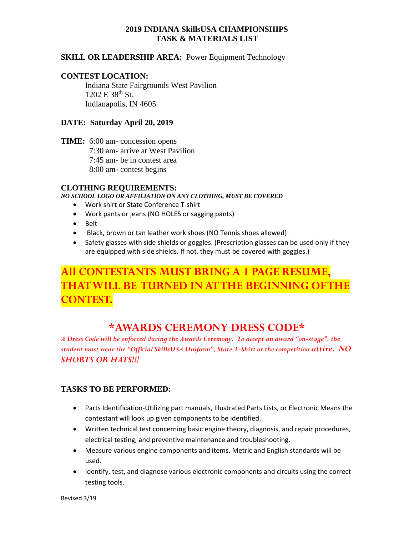### **2019 INDIANA SkillsUSA CHAMPIONSHIPS TASK & MATERIALS LIST**

### **SKILL OR LEADERSHIP AREA: Power Equipment Technology**

### **CONTEST LOCATION:**

Indiana State Fairgrounds West Pavilion 1202 E 38<sup>th</sup> St. Indianapolis, IN 4605

### **DATE: Saturday April 20, 2019**

**TIME:** 6:00 am- concession opens 7:30 am- arrive at West Pavilion 7:45 am- be in contest area 8:00 am- contest begins

### **CLOTHING REQUIREMENTS:**

*NO SCHOOL LOGO OR AFFILIATION ON ANY CLOTHING, MUST BE COVERED*

- Work shirt or State Conference T-shirt
- Work pants or jeans (NO HOLES or sagging pants)
- Belt
- Black, brown or tan leather work shoes (NO Tennis shoes allowed)
- Safety glasses with side shields or goggles. (Prescription glasses can be used only if they are equipped with side shields. If not, they must be covered with goggles.)

# **All CONTESTANTS MUST BRING A 1 PAGE RESUME, THAT WILL BE TURNED IN AT THE BEGINNING OF THE CONTEST.**

# **\*AWARDS CEREMONY DRESS CODE\***

*A Dress Code will be enforced during the Awards Ceremony. To accept an award "on-stage", the student must wear the "Official SkillsUSA Uniform", State T-Shirt or the competition attire. NO SHORTS OR HATS!!!*

### **TASKS TO BE PERFORMED:**

- Parts Identification-Utilizing part manuals, Illustrated Parts Lists, or Electronic Means the contestant will look up given components to be identified.
- Written technical test concerning basic engine theory, diagnosis, and repair procedures, electrical testing, and preventive maintenance and troubleshooting.
- Measure various engine components and items. Metric and English standards will be used.
- Identify, test, and diagnose various electronic components and circuits using the correct testing tools.